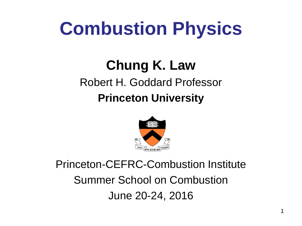# **Combustion Physics**

# **Chung K. Law**

#### Robert H. Goddard Professor

#### **Princeton University**



#### Princeton-CEFRC-Combustion Institute Summer School on Combustion June 20-24, 2016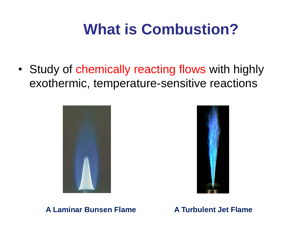### **What is Combustion?**

• Study of chemically reacting flows with highly exothermic, temperature-sensitive reactions





**A Laminar Bunsen Flame A Turbulent Jet Flame**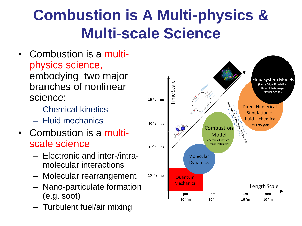### **Combustion is A Multi-physics & Multi-scale Science**

- Combustion is a multiphysics science, embodying two major branches of nonlinear science:
	- Chemical kinetics
	- Fluid mechanics
- Combustion is a multiscale science
	- Electronic and inter-/intramolecular interactions
	- Molecular rearrangement
	- Nano-particulate formation (e.g. soot)
	- Turbulent fuel/air mixing

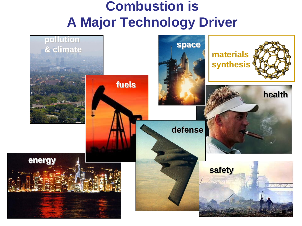#### **Combustion is A Major Technology Driver**

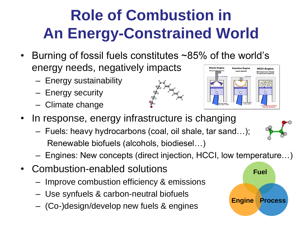## **Role of Combustion in An Energy-Constrained World**

- Burning of fossil fuels constitutes ~85% of the world's energy needs, negatively impacts **Diesel Engine** 
	- Energy sustainability
	- Energy security
	- Climate change





- In response, energy infrastructure is changing
	- Fuels: heavy hydrocarbons (coal, oil shale, tar sand…); Renewable biofuels (alcohols, biodiesel…)
	- Engines: New concepts (direct injection, HCCI, low temperature…)
- Combustion-enabled solutions
	- Improve combustion efficiency & emissions
	- Use synfuels & carbon-neutral biofuels
	- (Co-)design/develop new fuels & engines

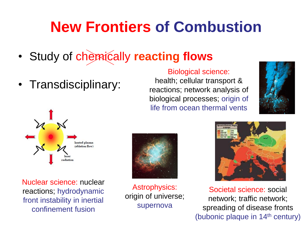### **New Frontiers of Combustion**

- Study of chemically **reacting flows**
- Transdisciplinary:

Biological science: health; cellular transport &

reactions; network analysis of biological processes; origin of life from ocean thermal vents





Nuclear science: nuclear reactions; hydrodynamic front instability in inertial confinement fusion



Astrophysics: origin of universe; supernova



Societal science: social network; traffic network; spreading of disease fronts (bubonic plaque in 14th century)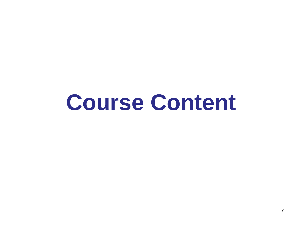# **Course Content**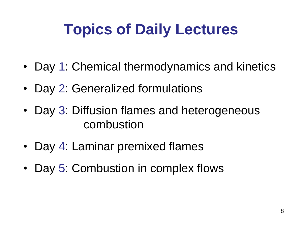### **Topics of Daily Lectures**

- Day 1: Chemical thermodynamics and kinetics
- Day 2: Generalized formulations
- Day 3: Diffusion flames and heterogeneous combustion
- Day 4: Laminar premixed flames
- Day 5: Combustion in complex flows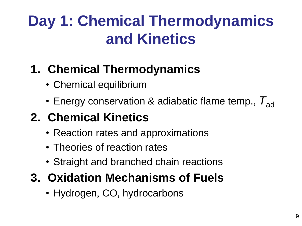### **Day 1: Chemical Thermodynamics and Kinetics**

#### **1. Chemical Thermodynamics**

- Chemical equilibrium
- Energy conservation & adiabatic flame temp.,  $T_{ad}$

### **2. Chemical Kinetics**

- Reaction rates and approximations
- Theories of reaction rates
- Straight and branched chain reactions

#### **3. Oxidation Mechanisms of Fuels**

• Hydrogen, CO, hydrocarbons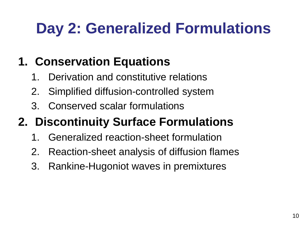### **Day 2: Generalized Formulations**

### **1. Conservation Equations**

- 1. Derivation and constitutive relations
- 2. Simplified diffusion-controlled system
- 3. Conserved scalar formulations

### **2. Discontinuity Surface Formulations**

- 1. Generalized reaction-sheet formulation
- 2. Reaction-sheet analysis of diffusion flames
- 3. Rankine-Hugoniot waves in premixtures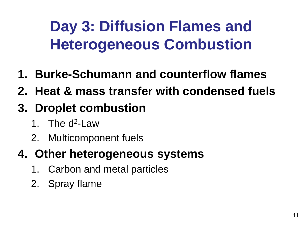### **Day 3: Diffusion Flames and Heterogeneous Combustion**

- **1. Burke-Schumann and counterflow flames**
- **2. Heat & mass transfer with condensed fuels**
- **3. Droplet combustion**
	- 1. The d<sup>2</sup>-Law
	- 2. Multicomponent fuels

#### **4. Other heterogeneous systems**

- 1. Carbon and metal particles
- 2. Spray flame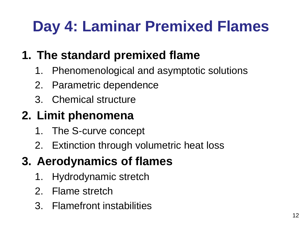### **Day 4: Laminar Premixed Flames**

#### **1. The standard premixed flame**

- 1. Phenomenological and asymptotic solutions
- 2. Parametric dependence
- 3. Chemical structure

#### **2. Limit phenomena**

- 1. The S-curve concept
- 2. Extinction through volumetric heat loss

#### **3. Aerodynamics of flames**

- 1. Hydrodynamic stretch
- 2. Flame stretch
- 3. Flamefront instabilities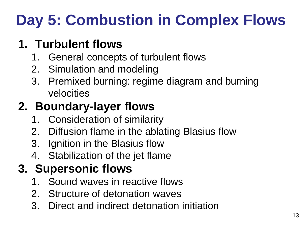## **Day 5: Combustion in Complex Flows**

#### **1. Turbulent flows**

- 1. General concepts of turbulent flows
- 2. Simulation and modeling
- 3. Premixed burning: regime diagram and burning velocities

### **2. Boundary-layer flows**

- 1. Consideration of similarity
- 2. Diffusion flame in the ablating Blasius flow
- 3. Ignition in the Blasius flow
- 4. Stabilization of the jet flame

#### **3. Supersonic flows**

- 1. Sound waves in reactive flows
- 2. Structure of detonation waves
- 3. Direct and indirect detonation initiation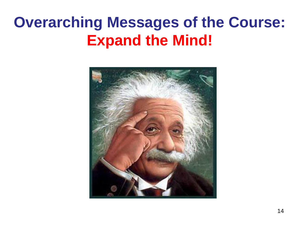### **Overarching Messages of the Course: Expand the Mind!**

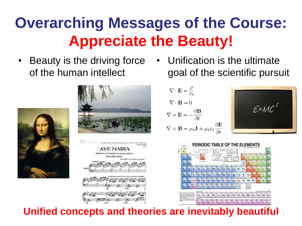### **Overarching Messages of the Course: Appreciate the Beauty!**

• Beauty is the driving force of the human intellect





• Unification is the ultimate goal of the scientific pursuit

$$
\nabla \cdot \mathbf{E} = \frac{\rho}{\varepsilon_0}
$$
  

$$
\nabla \cdot \mathbf{B} = 0
$$
  

$$
\nabla \times \mathbf{E} = -\frac{\partial \mathbf{B}}{\partial t}
$$
  

$$
\nabla \times \mathbf{B} = \mu_0 \mathbf{J} + \mu_0 \varepsilon_0 \frac{\partial \mathbf{I}}{\partial t}
$$





#### **Unified concepts and theories are inevitably beautiful**